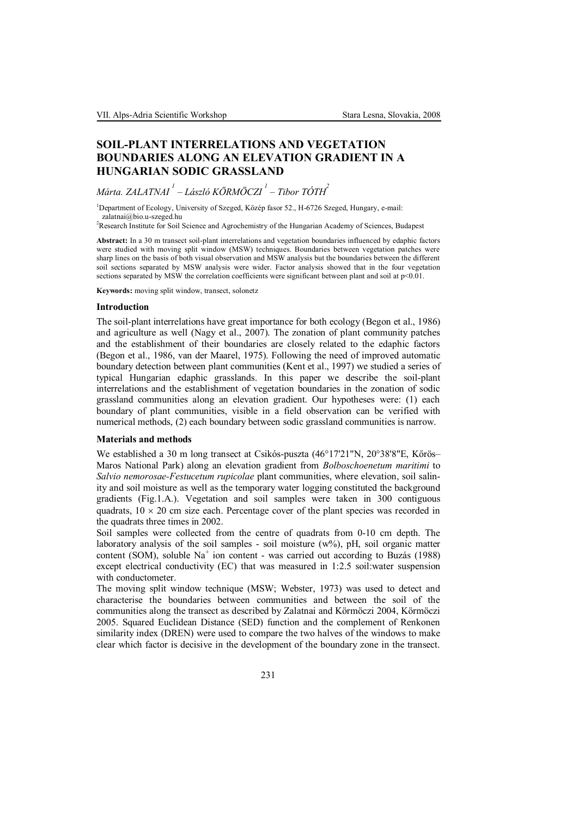# **SOIL-PLANT INTERRELATIONS AND VEGETATION BOUNDARIES ALONG AN ELEVATION GRADIENT IN A HUNGARIAN SODIC GRASSLAND**

*Márta. ZALATNAI 1 – László KÖRMÖCZI <sup>1</sup> – Tibor TÓTH<sup>2</sup>*

<sup>1</sup>Department of Ecology, University of Szeged, Közép fasor 52., H-6726 Szeged, Hungary, e-mail: zalatnai@bio.u-szeged.hu

2Research Institute for Soil Science and Agrochemistry of the Hungarian Academy of Sciences, Budapest

**Abstract:** In a 30 m transect soil-plant interrelations and vegetation boundaries influenced by edaphic factors were studied with moving split window (MSW) techniques. Boundaries between vegetation patches were sharp lines on the basis of both visual observation and MSW analysis but the boundaries between the different soil sections separated by MSW analysis were wider. Factor analysis showed that in the four vegetation sections separated by MSW the correlation coefficients were significant between plant and soil at  $p<0.01$ .

**Keywords:** moving split window, transect, solonetz

#### **Introduction**

The soil-plant interrelations have great importance for both ecology (Begon et al., 1986) and agriculture as well (Nagy et al., 2007). The zonation of plant community patches and the establishment of their boundaries are closely related to the edaphic factors (Begon et al., 1986, van der Maarel, 1975). Following the need of improved automatic boundary detection between plant communities (Kent et al., 1997) we studied a series of typical Hungarian edaphic grasslands. In this paper we describe the soil-plant interrelations and the establishment of vegetation boundaries in the zonation of sodic grassland communities along an elevation gradient. Our hypotheses were: (1) each boundary of plant communities, visible in a field observation can be verified with numerical methods, (2) each boundary between sodic grassland communities is narrow.

# **Materials and methods**

We established a 30 m long transect at Csikós-puszta (46°17'21"N, 20°38'8"E, Kőrös– Maros National Park) along an elevation gradient from *Bolboschoenetum maritimi* to *Salvio nemorosae-Festucetum rupicolae* plant communities, where elevation, soil salinity and soil moisture as well as the temporary water logging constituted the background gradients (Fig.1.A.). Vegetation and soil samples were taken in 300 contiguous quadrats,  $10 \times 20$  cm size each. Percentage cover of the plant species was recorded in the quadrats three times in 2002.

Soil samples were collected from the centre of quadrats from 0-10 cm depth. The laboratory analysis of the soil samples - soil moisture (w%), pH, soil organic matter content (SOM), soluble Na<sup>+</sup> ion content - was carried out according to Buzás (1988) except electrical conductivity (EC) that was measured in 1:2.5 soil:water suspension with conductometer.

The moving split window technique (MSW; Webster, 1973) was used to detect and characterise the boundaries between communities and between the soil of the communities along the transect as described by Zalatnai and Körmöczi 2004, Körmöczi 2005. Squared Euclidean Distance (SED) function and the complement of Renkonen similarity index (DREN) were used to compare the two halves of the windows to make clear which factor is decisive in the development of the boundary zone in the transect.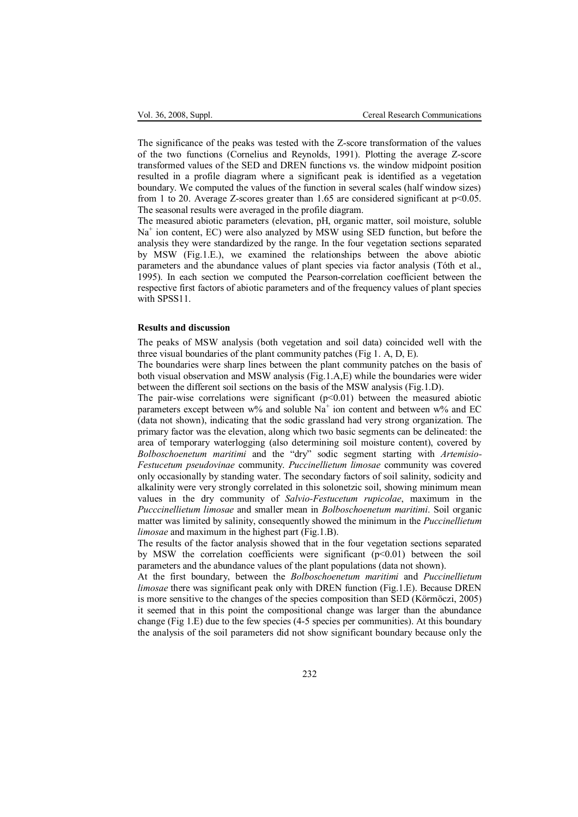The significance of the peaks was tested with the Z-score transformation of the values of the two functions (Cornelius and Reynolds, 1991). Plotting the average Z-score transformed values of the SED and DREN functions vs. the window midpoint position resulted in a profile diagram where a significant peak is identified as a vegetation boundary. We computed the values of the function in several scales (half window sizes) from 1 to 20. Average Z-scores greater than 1.65 are considered significant at  $p<0.05$ . The seasonal results were averaged in the profile diagram.

The measured abiotic parameters (elevation, pH, organic matter, soil moisture, soluble Na<sup>+</sup> ion content, EC) were also analyzed by MSW using SED function, but before the analysis they were standardized by the range. In the four vegetation sections separated by MSW (Fig.1.E.), we examined the relationships between the above abiotic parameters and the abundance values of plant species via factor analysis (Tóth et al., 1995). In each section we computed the Pearson-correlation coefficient between the respective first factors of abiotic parameters and of the frequency values of plant species with SPSS<sub>11</sub>.

# **Results and discussion**

The peaks of MSW analysis (both vegetation and soil data) coincided well with the three visual boundaries of the plant community patches (Fig 1. A, D, E).

The boundaries were sharp lines between the plant community patches on the basis of both visual observation and MSW analysis (Fig.1.A,E) while the boundaries were wider between the different soil sections on the basis of the MSW analysis (Fig.1.D).

The pair-wise correlations were significant  $(p<0.01)$  between the measured abiotic parameters except between w% and soluble  $Na<sup>+</sup>$  ion content and between w% and EC (data not shown), indicating that the sodic grassland had very strong organization. The primary factor was the elevation, along which two basic segments can be delineated: the area of temporary waterlogging (also determining soil moisture content), covered by *Bolboschoenetum maritimi* and the "dry" sodic segment starting with *Artemisio-Festucetum pseudovinae* community. *Puccinellietum limosae* community was covered only occasionally by standing water. The secondary factors of soil salinity, sodicity and alkalinity were very strongly correlated in this solonetzic soil, showing minimum mean values in the dry community of *Salvio-Festucetum rupicolae*, maximum in the *Pucccinellietum limosae* and smaller mean in *Bolboschoenetum maritimi*. Soil organic matter was limited by salinity, consequently showed the minimum in the *Puccinellietum limosae* and maximum in the highest part (Fig.1.B).

The results of the factor analysis showed that in the four vegetation sections separated by MSW the correlation coefficients were significant  $(p<0.01)$  between the soil parameters and the abundance values of the plant populations (data not shown).

At the first boundary, between the *Bolboschoenetum maritimi* and *Puccinellietum limosae* there was significant peak only with DREN function (Fig.1.E). Because DREN is more sensitive to the changes of the species composition than SED (Körmöczi, 2005) it seemed that in this point the compositional change was larger than the abundance change (Fig 1.E) due to the few species (4-5 species per communities). At this boundary the analysis of the soil parameters did not show significant boundary because only the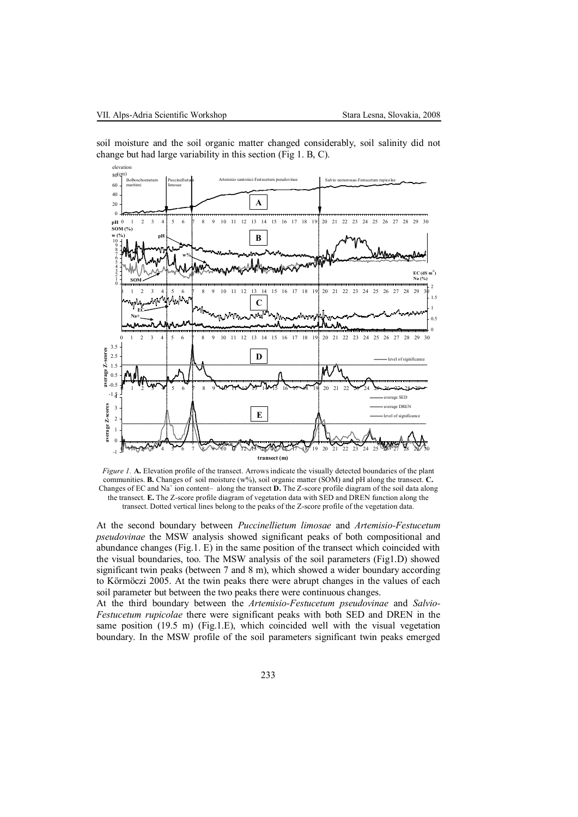

soil moisture and the soil organic matter changed considerably, soil salinity did not change but had large variability in this section (Fig 1. B, C).

*Figure 1.* **A.** Elevation profile of the transect. Arrows indicate the visually detected boundaries of the plant communities. **B.** Changes of soil moisture (w%), soil organic matter (SOM) and pH along the transect. **C.** Changes of EC and Na<sup>+</sup> ion content– along the transect **D.** The Z-score profile diagram of the soil data along the transect. **E.** The Z-score profile diagram of vegetation data with SED and DREN function along the transect. Dotted vertical lines belong to the peaks of the Z-score profile of the vegetation data.

At the second boundary between *Puccinellietum limosae* and *Artemisio-Festucetum pseudovinae* the MSW analysis showed significant peaks of both compositional and abundance changes (Fig.1. E) in the same position of the transect which coincided with the visual boundaries, too. The MSW analysis of the soil parameters (Fig1.D) showed significant twin peaks (between 7 and 8 m), which showed a wider boundary according to Körmöczi 2005. At the twin peaks there were abrupt changes in the values of each soil parameter but between the two peaks there were continuous changes.

At the third boundary between the *Artemisio-Festucetum pseudovinae* and *Salvio-Festucetum rupicolae* there were significant peaks with both SED and DREN in the same position  $(19.5 \text{ m})$  (Fig.1.E), which coincided well with the visual vegetation boundary. In the MSW profile of the soil parameters significant twin peaks emerged